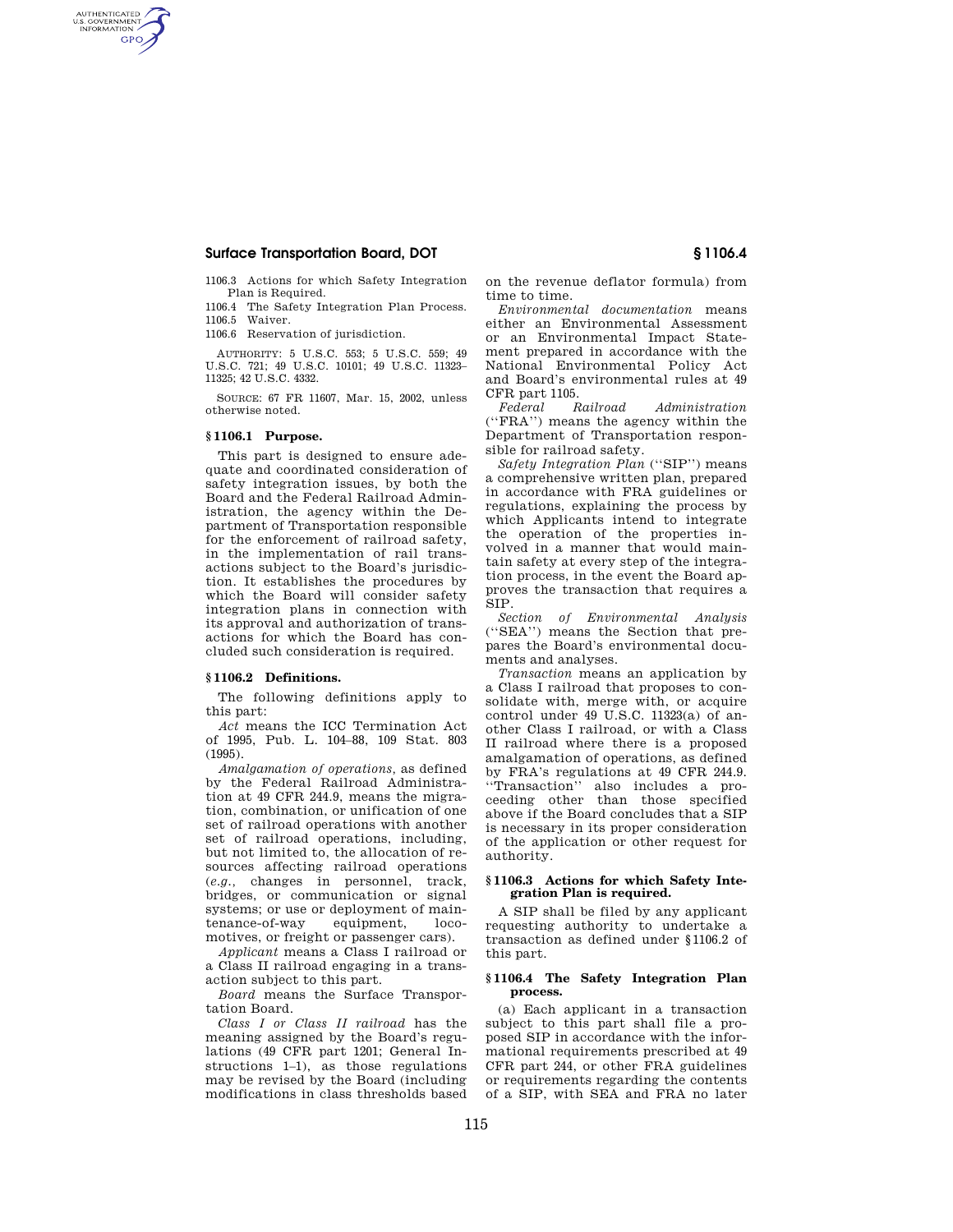## **Surface Transportation Board, DOT § 1106.4**

1106.3 Actions for which Safety Integration Plan is Required.

1106.4 The Safety Integration Plan Process. 1106.5 Waiver.

1106.6 Reservation of jurisdiction.

AUTHORITY: 5 U.S.C. 553; 5 U.S.C. 559; 49 U.S.C. 721; 49 U.S.C. 10101; 49 U.S.C. 11323– 11325; 42 U.S.C. 4332.

SOURCE: 67 FR 11607, Mar. 15, 2002, unless otherwise noted.

### **§ 1106.1 Purpose.**

AUTHENTICATED<br>U.S. GOVERNMENT<br>INFORMATION **GPO** 

> This part is designed to ensure adequate and coordinated consideration of safety integration issues, by both the Board and the Federal Railroad Administration, the agency within the Department of Transportation responsible for the enforcement of railroad safety, in the implementation of rail transactions subject to the Board's jurisdiction. It establishes the procedures by which the Board will consider safety integration plans in connection with its approval and authorization of transactions for which the Board has concluded such consideration is required.

### **§ 1106.2 Definitions.**

The following definitions apply to this part:

*Act* means the ICC Termination Act of 1995, Pub. L. 104–88, 109 Stat. 803 (1995).

*Amalgamation of operations,* as defined by the Federal Railroad Administration at 49 CFR 244.9, means the migration, combination, or unification of one set of railroad operations with another set of railroad operations, including, but not limited to, the allocation of resources affecting railroad operations (*e.g.,* changes in personnel, track, bridges, or communication or signal systems; or use or deployment of main-<br>tenance-of-way equipment, locotenance-of-way equipment, locomotives, or freight or passenger cars).

*Applicant* means a Class I railroad or a Class II railroad engaging in a transaction subject to this part.

*Board* means the Surface Transportation Board.

*Class I or Class II railroad* has the meaning assigned by the Board's regulations (49 CFR part 1201; General Instructions 1–1), as those regulations may be revised by the Board (including modifications in class thresholds based

on the revenue deflator formula) from time to time.

*Environmental documentation* means either an Environmental Assessment or an Environmental Impact Statement prepared in accordance with the National Environmental Policy Act and Board's environmental rules at 49 CFR part 1105.

*Federal Railroad Administration*  (''FRA'') means the agency within the Department of Transportation responsible for railroad safety.

*Safety Integration Plan* (''SIP'') means a comprehensive written plan, prepared in accordance with FRA guidelines or regulations, explaining the process by which Applicants intend to integrate the operation of the properties involved in a manner that would maintain safety at every step of the integration process, in the event the Board approves the transaction that requires a SIP.

*Section of Environmental Analysis*  (''SEA'') means the Section that prepares the Board's environmental documents and analyses.

*Transaction* means an application by a Class I railroad that proposes to consolidate with, merge with, or acquire control under 49 U.S.C. 11323(a) of another Class I railroad, or with a Class II railroad where there is a proposed amalgamation of operations, as defined by FRA's regulations at 49 CFR 244.9. ''Transaction'' also includes a proceeding other than those specified above if the Board concludes that a SIP is necessary in its proper consideration of the application or other request for authority.

#### **§ 1106.3 Actions for which Safety Integration Plan is required.**

A SIP shall be filed by any applicant requesting authority to undertake a transaction as defined under §1106.2 of this part.

### **§ 1106.4 The Safety Integration Plan process.**

(a) Each applicant in a transaction subject to this part shall file a proposed SIP in accordance with the informational requirements prescribed at 49 CFR part 244, or other FRA guidelines or requirements regarding the contents of a SIP, with SEA and FRA no later